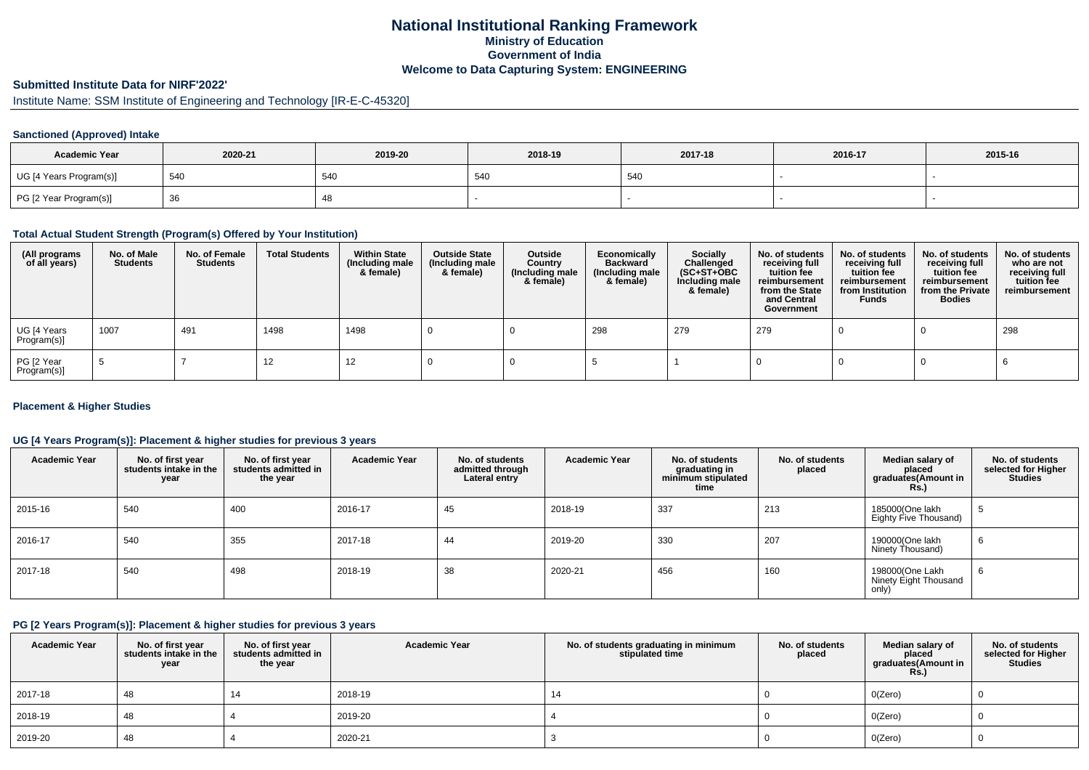# **National Institutional Ranking FrameworkMinistry of Education Government of IndiaWelcome to Data Capturing System: ENGINEERING**

# **Submitted Institute Data for NIRF'2022'**

# Institute Name: SSM Institute of Engineering and Technology [IR-E-C-45320]

## **Sanctioned (Approved) Intake**

| <b>Academic Year</b>    | 2020-21 | 2019-20 | 2018-19 | 2017-18 | 2016-17 | 2015-16 |
|-------------------------|---------|---------|---------|---------|---------|---------|
| UG [4 Years Program(s)] | 540     | 54C     | 540     | 540     |         |         |
| PG [2 Year Program(s)]  | -၁၀     | 40      |         |         |         |         |

#### **Total Actual Student Strength (Program(s) Offered by Your Institution)**

| (All programs<br>of all years) | No. of Male<br><b>Students</b> | No. of Female<br><b>Students</b> | <b>Total Students</b> | <b>Within State</b><br>(Including male<br>& female) | <b>Outside State</b><br>(Including male<br>& female) | Outside<br>Country<br>(Including male<br>& female) | Economically<br><b>Backward</b><br>(Including male<br>& female) | <b>Socially</b><br>Challenged<br>$(SC+ST+OBC)$<br>Including male<br>& female) | No. of students<br>receiving full<br>tuition fee<br>reimbursement<br>from the State<br>and Central<br>Government | No. of students<br>receiving full<br>tuition fee<br>reimbursement<br>from Institution<br><b>Funds</b> | No. of students<br>receiving full<br>tuition fee<br>reimbursement<br>from the Private<br><b>Bodies</b> | No. of students<br>who are not<br>receiving full<br>tuition fee<br>reimbursement |
|--------------------------------|--------------------------------|----------------------------------|-----------------------|-----------------------------------------------------|------------------------------------------------------|----------------------------------------------------|-----------------------------------------------------------------|-------------------------------------------------------------------------------|------------------------------------------------------------------------------------------------------------------|-------------------------------------------------------------------------------------------------------|--------------------------------------------------------------------------------------------------------|----------------------------------------------------------------------------------|
| UG [4 Years<br>Program(s)]     | 1007                           | 491                              | 1498                  | 1498                                                |                                                      |                                                    | 298                                                             | 279                                                                           | 279                                                                                                              |                                                                                                       |                                                                                                        | 298                                                                              |
| PG [2 Year<br>Program(s)]      |                                |                                  | 12                    | 12                                                  |                                                      |                                                    |                                                                 |                                                                               |                                                                                                                  |                                                                                                       |                                                                                                        |                                                                                  |

### **Placement & Higher Studies**

### **UG [4 Years Program(s)]: Placement & higher studies for previous 3 years**

| <b>Academic Year</b> | No. of first year<br>students intake in the<br>year | No. of first vear<br>students admitted in<br>the year | <b>Academic Year</b> | No. of students<br>admitted through<br>Lateral entry | <b>Academic Year</b> | No. of students<br>graduating in<br>minimum stipulated<br>time | No. of students<br>placed | Median salary of<br>placed<br>graduates(Amount in<br>Rs. | No. of students<br>selected for Higher<br><b>Studies</b> |
|----------------------|-----------------------------------------------------|-------------------------------------------------------|----------------------|------------------------------------------------------|----------------------|----------------------------------------------------------------|---------------------------|----------------------------------------------------------|----------------------------------------------------------|
| 2015-16              | 540                                                 | 400                                                   | 2016-17              | 45                                                   | 2018-19              | 337                                                            | 213                       | 185000(One lakh<br>Eighty Five Thousand)                 | ා                                                        |
| 2016-17              | 540                                                 | 355                                                   | 2017-18              | 44                                                   | 2019-20              | 330                                                            | 207                       | 190000(One lakh<br>Ninety Thousand)                      | 6                                                        |
| 2017-18              | 540                                                 | 498                                                   | 2018-19              | 38                                                   | 2020-21              | 456                                                            | 160                       | 198000(One Lakh<br>Ninety Eight Thousand<br>only)        | O                                                        |

### **PG [2 Years Program(s)]: Placement & higher studies for previous 3 years**

| <b>Academic Year</b> | No. of first year<br>students intake in the<br>year | No. of first year<br>students admitted in<br>the year | <b>Academic Year</b> | No. of students graduating in minimum<br>stipulated time | No. of students<br>placed | Median salary of<br>placed<br>graduates(Amount in<br>Rs. | No. of students<br>selected for Higher<br><b>Studies</b> |
|----------------------|-----------------------------------------------------|-------------------------------------------------------|----------------------|----------------------------------------------------------|---------------------------|----------------------------------------------------------|----------------------------------------------------------|
| 2017-18              | 48                                                  | 14                                                    | 2018-19              | 14                                                       |                           | O(Zero)                                                  |                                                          |
| 2018-19              | 48                                                  |                                                       | 2019-20              |                                                          |                           | O(Zero)                                                  |                                                          |
| 2019-20              | 48                                                  |                                                       | 2020-21              |                                                          |                           | O(Zero)                                                  |                                                          |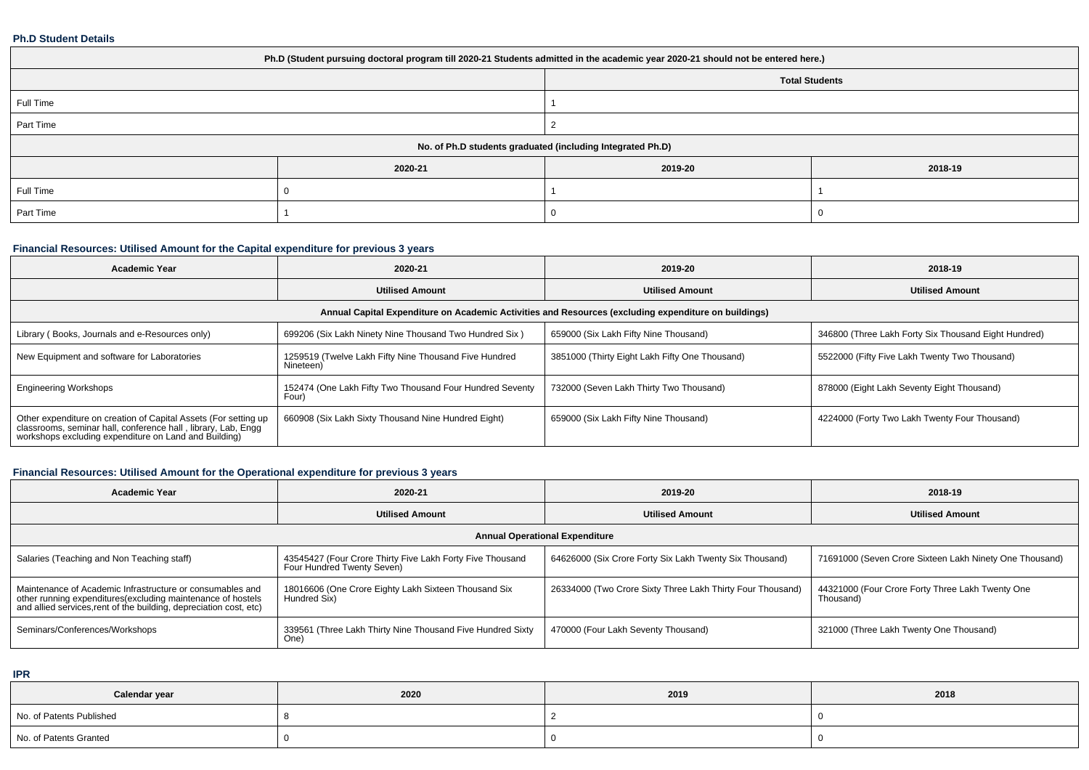#### **Ph.D Student Details**

| Ph.D (Student pursuing doctoral program till 2020-21 Students admitted in the academic year 2020-21 should not be entered here.) |         |                                                            |         |  |  |  |  |
|----------------------------------------------------------------------------------------------------------------------------------|---------|------------------------------------------------------------|---------|--|--|--|--|
| <b>Total Students</b>                                                                                                            |         |                                                            |         |  |  |  |  |
| Full Time                                                                                                                        |         |                                                            |         |  |  |  |  |
| Part Time                                                                                                                        |         |                                                            |         |  |  |  |  |
|                                                                                                                                  |         | No. of Ph.D students graduated (including Integrated Ph.D) |         |  |  |  |  |
|                                                                                                                                  | 2020-21 | 2019-20                                                    | 2018-19 |  |  |  |  |
| Full Time                                                                                                                        |         |                                                            |         |  |  |  |  |
| Part Time                                                                                                                        |         |                                                            |         |  |  |  |  |

# **Financial Resources: Utilised Amount for the Capital expenditure for previous 3 years**

| <b>Academic Year</b>                                                                                                                                                                   | 2020-21                                                            | 2019-20                                        | 2018-19                                              |  |  |  |  |  |
|----------------------------------------------------------------------------------------------------------------------------------------------------------------------------------------|--------------------------------------------------------------------|------------------------------------------------|------------------------------------------------------|--|--|--|--|--|
|                                                                                                                                                                                        | <b>Utilised Amount</b>                                             | <b>Utilised Amount</b>                         | <b>Utilised Amount</b>                               |  |  |  |  |  |
| Annual Capital Expenditure on Academic Activities and Resources (excluding expenditure on buildings)                                                                                   |                                                                    |                                                |                                                      |  |  |  |  |  |
| Library (Books, Journals and e-Resources only)                                                                                                                                         | 699206 (Six Lakh Ninety Nine Thousand Two Hundred Six)             | 659000 (Six Lakh Fifty Nine Thousand)          | 346800 (Three Lakh Forty Six Thousand Eight Hundred) |  |  |  |  |  |
| New Equipment and software for Laboratories                                                                                                                                            | 1259519 (Twelve Lakh Fifty Nine Thousand Five Hundred<br>Nineteen) | 3851000 (Thirty Eight Lakh Fifty One Thousand) | 5522000 (Fifty Five Lakh Twenty Two Thousand)        |  |  |  |  |  |
| <b>Engineering Workshops</b>                                                                                                                                                           | 152474 (One Lakh Fifty Two Thousand Four Hundred Seventy<br>Four)  | 732000 (Seven Lakh Thirty Two Thousand)        | 878000 (Eight Lakh Seventy Eight Thousand)           |  |  |  |  |  |
| Other expenditure on creation of Capital Assets (For setting up classrooms, seminar hall, conference hall, library, Lab, Engg<br>workshops excluding expenditure on Land and Building) | 660908 (Six Lakh Sixty Thousand Nine Hundred Eight)                | 659000 (Six Lakh Fifty Nine Thousand)          | 4224000 (Forty Two Lakh Twenty Four Thousand)        |  |  |  |  |  |

# **Financial Resources: Utilised Amount for the Operational expenditure for previous 3 years**

| <b>Academic Year</b>                                                                                                                                                                            | 2020-21                                                                                 | 2019-20                                                    | 2018-19                                                       |  |  |  |  |  |  |
|-------------------------------------------------------------------------------------------------------------------------------------------------------------------------------------------------|-----------------------------------------------------------------------------------------|------------------------------------------------------------|---------------------------------------------------------------|--|--|--|--|--|--|
|                                                                                                                                                                                                 | <b>Utilised Amount</b>                                                                  | <b>Utilised Amount</b>                                     | <b>Utilised Amount</b>                                        |  |  |  |  |  |  |
|                                                                                                                                                                                                 | <b>Annual Operational Expenditure</b>                                                   |                                                            |                                                               |  |  |  |  |  |  |
| Salaries (Teaching and Non Teaching staff)                                                                                                                                                      | 43545427 (Four Crore Thirty Five Lakh Forty Five Thousand<br>Four Hundred Twenty Seven) | 64626000 (Six Crore Forty Six Lakh Twenty Six Thousand)    | 71691000 (Seven Crore Sixteen Lakh Ninety One Thousand)       |  |  |  |  |  |  |
| Maintenance of Academic Infrastructure or consumables and<br>other running expenditures (excluding maintenance of hostels<br>and allied services, rent of the building, depreciation cost, etc) | 18016606 (One Crore Eighty Lakh Sixteen Thousand Six<br>Hundred Six)                    | 26334000 (Two Crore Sixty Three Lakh Thirty Four Thousand) | 44321000 (Four Crore Forty Three Lakh Twenty One<br>Thousand) |  |  |  |  |  |  |
| Seminars/Conferences/Workshops                                                                                                                                                                  | 339561 (Three Lakh Thirty Nine Thousand Five Hundred Sixty<br>One)                      | 470000 (Four Lakh Seventy Thousand)                        | 321000 (Three Lakh Twenty One Thousand)                       |  |  |  |  |  |  |

**IPR**

| Calendar year            | 2020 | 2019 | 2018 |
|--------------------------|------|------|------|
| No. of Patents Published |      |      |      |
| No. of Patents Granted   |      |      |      |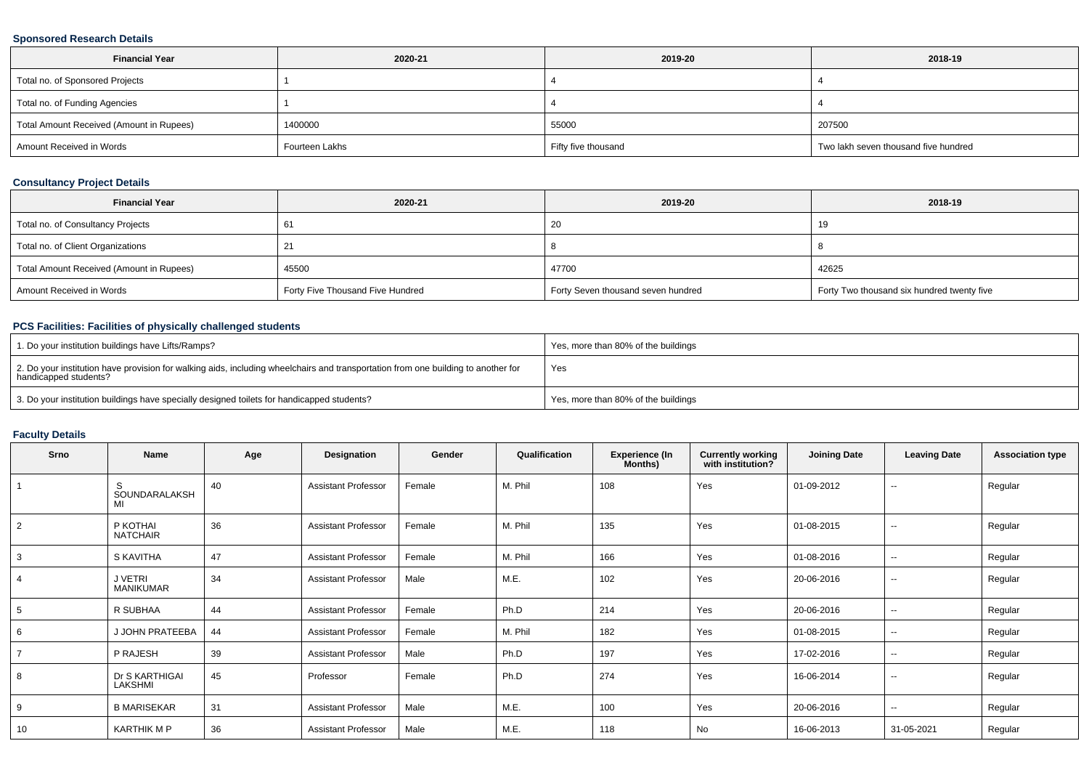### **Sponsored Research Details**

| <b>Financial Year</b>                    | 2020-21        | 2019-20             | 2018-19                              |  |
|------------------------------------------|----------------|---------------------|--------------------------------------|--|
| Total no. of Sponsored Projects          |                |                     |                                      |  |
| Total no. of Funding Agencies            |                |                     |                                      |  |
| Total Amount Received (Amount in Rupees) | 1400000        | 55000               | 207500                               |  |
| Amount Received in Words                 | Fourteen Lakhs | Fifty five thousand | Two lakh seven thousand five hundred |  |

### **Consultancy Project Details**

| <b>Financial Year</b>                    | 2020-21                          | 2019-20                            | 2018-19                                    |
|------------------------------------------|----------------------------------|------------------------------------|--------------------------------------------|
| Total no. of Consultancy Projects        |                                  | 20                                 |                                            |
| Total no. of Client Organizations        |                                  |                                    |                                            |
| Total Amount Received (Amount in Rupees) | 45500                            | 47700                              | 42625                                      |
| Amount Received in Words                 | Forty Five Thousand Five Hundred | Forty Seven thousand seven hundred | Forty Two thousand six hundred twenty five |

# **PCS Facilities: Facilities of physically challenged students**

| 1. Do your institution buildings have Lifts/Ramps?                                                                                                         | Yes, more than 80% of the buildings |
|------------------------------------------------------------------------------------------------------------------------------------------------------------|-------------------------------------|
| 2. Do your institution have provision for walking aids, including wheelchairs and transportation from one building to another for<br>handicapped students? | Yes                                 |
| 3. Do your institution buildings have specially designed toilets for handicapped students?                                                                 | Yes, more than 80% of the buildings |

# **Faculty Details**

| Srno           | Name                        | Age | Designation                | Gender | Qualification | <b>Experience (In</b><br>Months) | <b>Currently working</b><br>with institution? | <b>Joining Date</b> | <b>Leaving Date</b>      | <b>Association type</b> |
|----------------|-----------------------------|-----|----------------------------|--------|---------------|----------------------------------|-----------------------------------------------|---------------------|--------------------------|-------------------------|
|                | S.<br>SOUNDARALAKSH<br>MI   | 40  | <b>Assistant Professor</b> | Female | M. Phil       | 108                              | Yes                                           | 01-09-2012          | $\sim$                   | Regular                 |
| 2              | P KOTHAI<br><b>NATCHAIR</b> | 36  | <b>Assistant Professor</b> | Female | M. Phil       | 135                              | Yes                                           | 01-08-2015          | $\overline{\phantom{a}}$ | Regular                 |
| 3              | S KAVITHA                   | 47  | <b>Assistant Professor</b> | Female | M. Phil       | 166                              | Yes                                           | 01-08-2016          | $\overline{\phantom{a}}$ | Regular                 |
| 4              | J VETRI<br>MANIKUMAR        | 34  | <b>Assistant Professor</b> | Male   | M.E.          | 102                              | Yes                                           | 20-06-2016          | $\sim$                   | Regular                 |
| 5              | R SUBHAA                    | 44  | <b>Assistant Professor</b> | Female | Ph.D          | 214                              | Yes                                           | 20-06-2016          | $\overline{\phantom{a}}$ | Regular                 |
| 6              | J JOHN PRATEEBA             | 44  | <b>Assistant Professor</b> | Female | M. Phil       | 182                              | Yes                                           | 01-08-2015          | $\sim$                   | Regular                 |
| $\overline{7}$ | P RAJESH                    | 39  | <b>Assistant Professor</b> | Male   | Ph.D          | 197                              | Yes                                           | 17-02-2016          | $\sim$                   | Regular                 |
| 8              | Dr S KARTHIGAI<br>LAKSHMI   | 45  | Professor                  | Female | Ph.D          | 274                              | Yes                                           | 16-06-2014          | $\sim$                   | Regular                 |
| 9              | <b>B MARISEKAR</b>          | 31  | <b>Assistant Professor</b> | Male   | M.E.          | 100                              | Yes                                           | 20-06-2016          | $\sim$                   | Regular                 |
| 10             | <b>KARTHIK M P</b>          | 36  | <b>Assistant Professor</b> | Male   | M.E.          | 118                              | No                                            | 16-06-2013          | 31-05-2021               | Regular                 |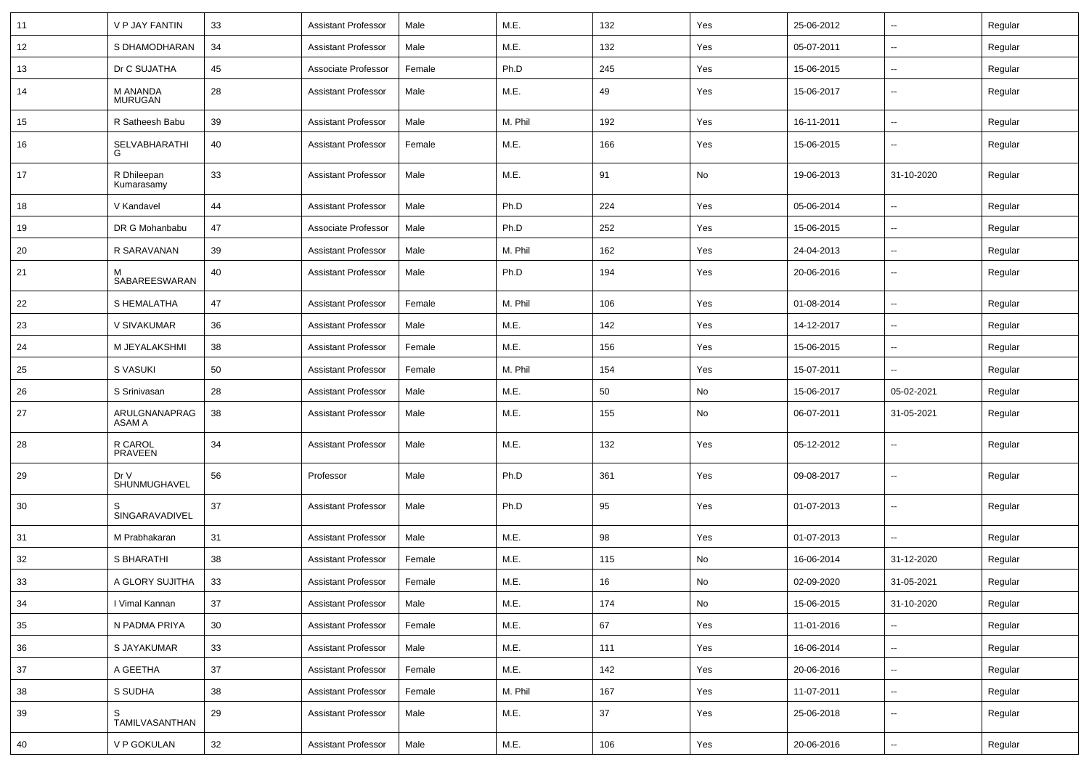| 11 | V P JAY FANTIN             | 33 | <b>Assistant Professor</b> | Male   | M.E.    | 132 | Yes           | 25-06-2012 | ⊷.                       | Regular |
|----|----------------------------|----|----------------------------|--------|---------|-----|---------------|------------|--------------------------|---------|
| 12 | S DHAMODHARAN              | 34 | <b>Assistant Professor</b> | Male   | M.E.    | 132 | Yes           | 05-07-2011 | --                       | Regular |
| 13 | Dr C SUJATHA               | 45 | Associate Professor        | Female | Ph.D    | 245 | Yes           | 15-06-2015 | --                       | Regular |
| 14 | M ANANDA<br><b>MURUGAN</b> | 28 | <b>Assistant Professor</b> | Male   | M.E.    | 49  | Yes           | 15-06-2017 | --                       | Regular |
| 15 | R Satheesh Babu            | 39 | <b>Assistant Professor</b> | Male   | M. Phil | 192 | Yes           | 16-11-2011 | $\overline{\phantom{a}}$ | Regular |
| 16 | SELVABHARATHI<br>G         | 40 | <b>Assistant Professor</b> | Female | M.E.    | 166 | Yes           | 15-06-2015 |                          | Regular |
| 17 | R Dhileepan<br>Kumarasamy  | 33 | <b>Assistant Professor</b> | Male   | M.E.    | 91  | No            | 19-06-2013 | 31-10-2020               | Regular |
| 18 | V Kandavel                 | 44 | <b>Assistant Professor</b> | Male   | Ph.D    | 224 | Yes           | 05-06-2014 | --                       | Regular |
| 19 | DR G Mohanbabu             | 47 | Associate Professor        | Male   | Ph.D    | 252 | Yes           | 15-06-2015 | ⊷.                       | Regular |
| 20 | R SARAVANAN                | 39 | <b>Assistant Professor</b> | Male   | M. Phil | 162 | Yes           | 24-04-2013 | н.                       | Regular |
| 21 | м<br>SABAREESWARAN         | 40 | <b>Assistant Professor</b> | Male   | Ph.D    | 194 | Yes           | 20-06-2016 | --                       | Regular |
| 22 | S HEMALATHA                | 47 | <b>Assistant Professor</b> | Female | M. Phil | 106 | Yes           | 01-08-2014 | -−                       | Regular |
| 23 | V SIVAKUMAR                | 36 | <b>Assistant Professor</b> | Male   | M.E.    | 142 | Yes           | 14-12-2017 | $\overline{\phantom{a}}$ | Regular |
| 24 | M JEYALAKSHMI              | 38 | <b>Assistant Professor</b> | Female | M.E.    | 156 | Yes           | 15-06-2015 | $\overline{\phantom{a}}$ | Regular |
| 25 | S VASUKI                   | 50 | <b>Assistant Professor</b> | Female | M. Phil | 154 | Yes           | 15-07-2011 |                          | Regular |
| 26 | S Srinivasan               | 28 | <b>Assistant Professor</b> | Male   | M.E.    | 50  | No            | 15-06-2017 | 05-02-2021               | Regular |
| 27 | ARULGNANAPRAG<br>ASAM A    | 38 | <b>Assistant Professor</b> | Male   | M.E.    | 155 | No            | 06-07-2011 | 31-05-2021               | Regular |
| 28 | R CAROL<br><b>PRAVEEN</b>  | 34 | <b>Assistant Professor</b> | Male   | M.E.    | 132 | Yes           | 05-12-2012 | $\overline{\phantom{a}}$ | Regular |
| 29 | Dr V<br>SHUNMUGHAVEL       | 56 | Professor                  | Male   | Ph.D    | 361 | Yes           | 09-08-2017 | --                       | Regular |
| 30 | SINGARAVADIVEL             | 37 | <b>Assistant Professor</b> | Male   | Ph.D    | 95  | Yes           | 01-07-2013 | $\overline{\phantom{a}}$ | Regular |
| 31 | M Prabhakaran              | 31 | <b>Assistant Professor</b> | Male   | M.E.    | 98  | Yes           | 01-07-2013 | ⊷.                       | Regular |
| 32 | S BHARATHI                 | 38 | <b>Assistant Professor</b> | Female | M.E.    | 115 | No            | 16-06-2014 | 31-12-2020               | Regular |
| 33 | A GLORY SUJITHA            | 33 | <b>Assistant Professor</b> | Female | M.E.    | 16  | No            | 02-09-2020 | 31-05-2021               | Regular |
| 34 | I Vimal Kannan             | 37 | <b>Assistant Professor</b> | Male   | M.E.    | 174 | $\mathsf{No}$ | 15-06-2015 | 31-10-2020               | Regular |
| 35 | N PADMA PRIYA              | 30 | <b>Assistant Professor</b> | Female | M.E.    | 67  | Yes           | 11-01-2016 | ш,                       | Regular |
| 36 | S JAYAKUMAR                | 33 | <b>Assistant Professor</b> | Male   | M.E.    | 111 | Yes           | 16-06-2014 | $\overline{\phantom{a}}$ | Regular |
| 37 | A GEETHA                   | 37 | <b>Assistant Professor</b> | Female | M.E.    | 142 | Yes           | 20-06-2016 | $\sim$                   | Regular |
| 38 | S SUDHA                    | 38 | <b>Assistant Professor</b> | Female | M. Phil | 167 | Yes           | 11-07-2011 | $\sim$                   | Regular |
| 39 | S<br>TAMILVASANTHAN        | 29 | <b>Assistant Professor</b> | Male   | M.E.    | 37  | Yes           | 25-06-2018 | $\sim$                   | Regular |
| 40 | V P GOKULAN                | 32 | <b>Assistant Professor</b> | Male   | M.E.    | 106 | Yes           | 20-06-2016 | щ.                       | Regular |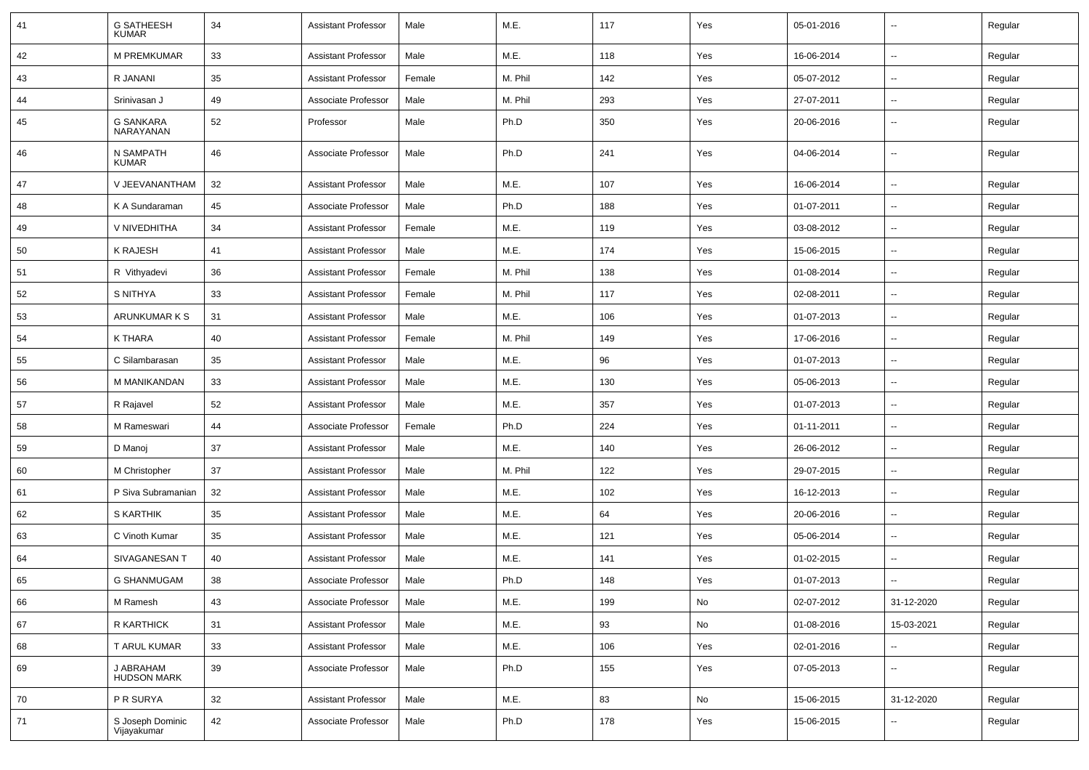| 41 | <b>G SATHEESH</b><br><b>KUMAR</b> | 34 | <b>Assistant Professor</b> | Male   | M.E.    | 117 | Yes | 05-01-2016 | --                       | Regular |
|----|-----------------------------------|----|----------------------------|--------|---------|-----|-----|------------|--------------------------|---------|
| 42 | <b>M PREMKUMAR</b>                | 33 | <b>Assistant Professor</b> | Male   | M.E.    | 118 | Yes | 16-06-2014 | ⊷.                       | Regular |
| 43 | R JANANI                          | 35 | <b>Assistant Professor</b> | Female | M. Phil | 142 | Yes | 05-07-2012 | $\overline{\phantom{a}}$ | Regular |
| 44 | Srinivasan J                      | 49 | Associate Professor        | Male   | M. Phil | 293 | Yes | 27-07-2011 | $\overline{\phantom{a}}$ | Regular |
| 45 | G SANKARA<br>NARAYANAN            | 52 | Professor                  | Male   | Ph.D    | 350 | Yes | 20-06-2016 | -−                       | Regular |
| 46 | N SAMPATH<br><b>KUMAR</b>         | 46 | Associate Professor        | Male   | Ph.D    | 241 | Yes | 04-06-2014 | --                       | Regular |
| 47 | V JEEVANANTHAM                    | 32 | <b>Assistant Professor</b> | Male   | M.E.    | 107 | Yes | 16-06-2014 | --                       | Regular |
| 48 | K A Sundaraman                    | 45 | Associate Professor        | Male   | Ph.D    | 188 | Yes | 01-07-2011 | $\overline{\phantom{a}}$ | Regular |
| 49 | V NIVEDHITHA                      | 34 | <b>Assistant Professor</b> | Female | M.E.    | 119 | Yes | 03-08-2012 | $\overline{\phantom{a}}$ | Regular |
| 50 | K RAJESH                          | 41 | <b>Assistant Professor</b> | Male   | M.E.    | 174 | Yes | 15-06-2015 | н.                       | Regular |
| 51 | R Vithyadevi                      | 36 | <b>Assistant Professor</b> | Female | M. Phil | 138 | Yes | 01-08-2014 | $\overline{\phantom{a}}$ | Regular |
| 52 | S NITHYA                          | 33 | <b>Assistant Professor</b> | Female | M. Phil | 117 | Yes | 02-08-2011 | $\overline{\phantom{a}}$ | Regular |
| 53 | ARUNKUMAR K S                     | 31 | <b>Assistant Professor</b> | Male   | M.E.    | 106 | Yes | 01-07-2013 | н.                       | Regular |
| 54 | K THARA                           | 40 | <b>Assistant Professor</b> | Female | M. Phil | 149 | Yes | 17-06-2016 | $\overline{\phantom{a}}$ | Regular |
| 55 | C Silambarasan                    | 35 | <b>Assistant Professor</b> | Male   | M.E.    | 96  | Yes | 01-07-2013 | $\overline{\phantom{a}}$ | Regular |
| 56 | M MANIKANDAN                      | 33 | <b>Assistant Professor</b> | Male   | M.E.    | 130 | Yes | 05-06-2013 | н.                       | Regular |
| 57 | R Rajavel                         | 52 | <b>Assistant Professor</b> | Male   | M.E.    | 357 | Yes | 01-07-2013 | $\overline{\phantom{a}}$ | Regular |
| 58 | M Rameswari                       | 44 | Associate Professor        | Female | Ph.D    | 224 | Yes | 01-11-2011 | --                       | Regular |
| 59 | D Manoj                           | 37 | <b>Assistant Professor</b> | Male   | M.E.    | 140 | Yes | 26-06-2012 | -−                       | Regular |
| 60 | M Christopher                     | 37 | <b>Assistant Professor</b> | Male   | M. Phil | 122 | Yes | 29-07-2015 | $-$                      | Regular |
| 61 | P Siva Subramanian                | 32 | <b>Assistant Professor</b> | Male   | M.E.    | 102 | Yes | 16-12-2013 | ⊷.                       | Regular |
| 62 | <b>S KARTHIK</b>                  | 35 | <b>Assistant Professor</b> | Male   | M.E.    | 64  | Yes | 20-06-2016 | ⊷.                       | Regular |
| 63 | C Vinoth Kumar                    | 35 | <b>Assistant Professor</b> | Male   | M.E.    | 121 | Yes | 05-06-2014 | $\overline{\phantom{a}}$ | Regular |
| 64 | SIVAGANESAN T                     | 40 | <b>Assistant Professor</b> | Male   | M.E.    | 141 | Yes | 01-02-2015 | --                       | Regular |
| 65 | <b>G SHANMUGAM</b>                | 38 | Associate Professor        | Male   | Ph.D    | 148 | Yes | 01-07-2013 | -−                       | Regular |
| 66 | M Ramesh                          | 43 | Associate Professor        | Male   | M.E.    | 199 | No  | 02-07-2012 | 31-12-2020               | Regular |
| 67 | R KARTHICK                        | 31 | <b>Assistant Professor</b> | Male   | M.E.    | 93  | No  | 01-08-2016 | 15-03-2021               | Regular |
| 68 | T ARUL KUMAR                      | 33 | <b>Assistant Professor</b> | Male   | M.E.    | 106 | Yes | 02-01-2016 | $\overline{\phantom{a}}$ | Regular |
| 69 | J ABRAHAM<br>HUDSON MARK          | 39 | Associate Professor        | Male   | Ph.D    | 155 | Yes | 07-05-2013 | $\sim$                   | Regular |
| 70 | P R SURYA                         | 32 | <b>Assistant Professor</b> | Male   | M.E.    | 83  | No  | 15-06-2015 | 31-12-2020               | Regular |
| 71 | S Joseph Dominic<br>Vijayakumar   | 42 | Associate Professor        | Male   | Ph.D    | 178 | Yes | 15-06-2015 | ⊶.                       | Regular |